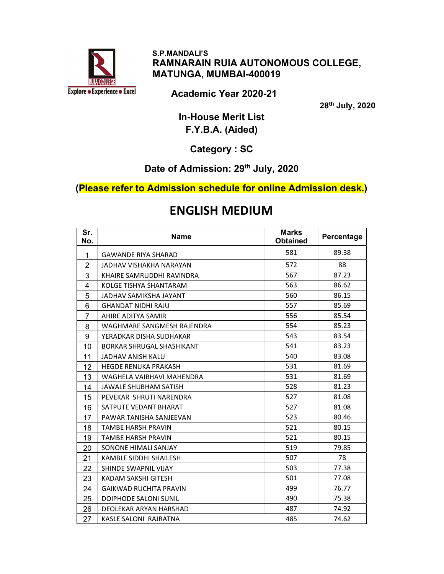

 S.P.MANDALI'S RAMNARAIN RUIA AUTONOMOUS COLLEGE, MATUNGA, MUMBAI-400019

Academic Year 2020-21

th July, 2020

In-House Merit List F.Y.B.A. (Aided)

Category : SC

#### Date of Admission: 29<sup>th</sup> July, 2020

(Please refer to Admission schedule for online Admission desk.)

## ENGLISH MEDIUM

| Sr.<br>No.     | <b>Name</b>                   | <b>Marks</b><br><b>Obtained</b> | Percentage |
|----------------|-------------------------------|---------------------------------|------------|
| 1              | <b>GAWANDE RIYA SHARAD</b>    | 581                             | 89.38      |
| $\overline{2}$ | JADHAV VISHAKHA NARAYAN       | 572                             | 88         |
| 3              | KHAIRE SAMRUDDHI RAVINDRA     | 567                             | 87.23      |
| 4              | KOLGE TISHYA SHANTARAM        | 563                             | 86.62      |
| 5              | JADHAV SAMIKSHA JAYANT        | 560                             | 86.15      |
| 6              | <b>GHANDAT NIDHI RAJU</b>     | 557                             | 85.69      |
| $\overline{7}$ | AHIRE ADITYA SAMIR            | 556                             | 85.54      |
| 8              | WAGHMARE SANGMESH RAJENDRA    | 554                             | 85.23      |
| 9              | YERADKAR DISHA SUDHAKAR       | 543                             | 83.54      |
| 10             | BORKAR SHRUGAL SHASHIKANT     | 541                             | 83.23      |
| 11             | JADHAV ANISH KALU             | 540                             | 83.08      |
| 12             | <b>HEGDE RENUKA PRAKASH</b>   | 531                             | 81.69      |
| 13             | WAGHELA VAIBHAVI MAHENDRA     | 531                             | 81.69      |
| 14             | JAWALE SHUBHAM SATISH         | 528                             | 81.23      |
| 15             | PEVEKAR SHRUTI NARENDRA       | 527                             | 81.08      |
| 16             | SATPUTE VEDANT BHARAT         | 527                             | 81.08      |
| 17             | PAWAR TANISHA SANJEEVAN       | 523                             | 80.46      |
| 18             | <b>TAMBE HARSH PRAVIN</b>     | 521                             | 80.15      |
| 19             | <b>TAMBE HARSH PRAVIN</b>     | 521                             | 80.15      |
| 20             | SONONE HIMALI SANJAY          | 519                             | 79.85      |
| 21             | KAMBLE SIDDHI SHAILESH        | 507                             | 78         |
| 22             | SHINDE SWAPNIL VIJAY          | 503                             | 77.38      |
| 23             | KADAM SAKSHI GITESH           | 501                             | 77.08      |
| 24             | <b>GAIKWAD RUCHITA PRAVIN</b> | 499                             | 76.77      |
| 25             | <b>DOIPHODE SALONI SUNIL</b>  | 490                             | 75.38      |
| 26             | DEOLEKAR ARYAN HARSHAD        | 487                             | 74.92      |
| 27             | KASLE SALONI RAJRATNA         | 485                             | 74.62      |